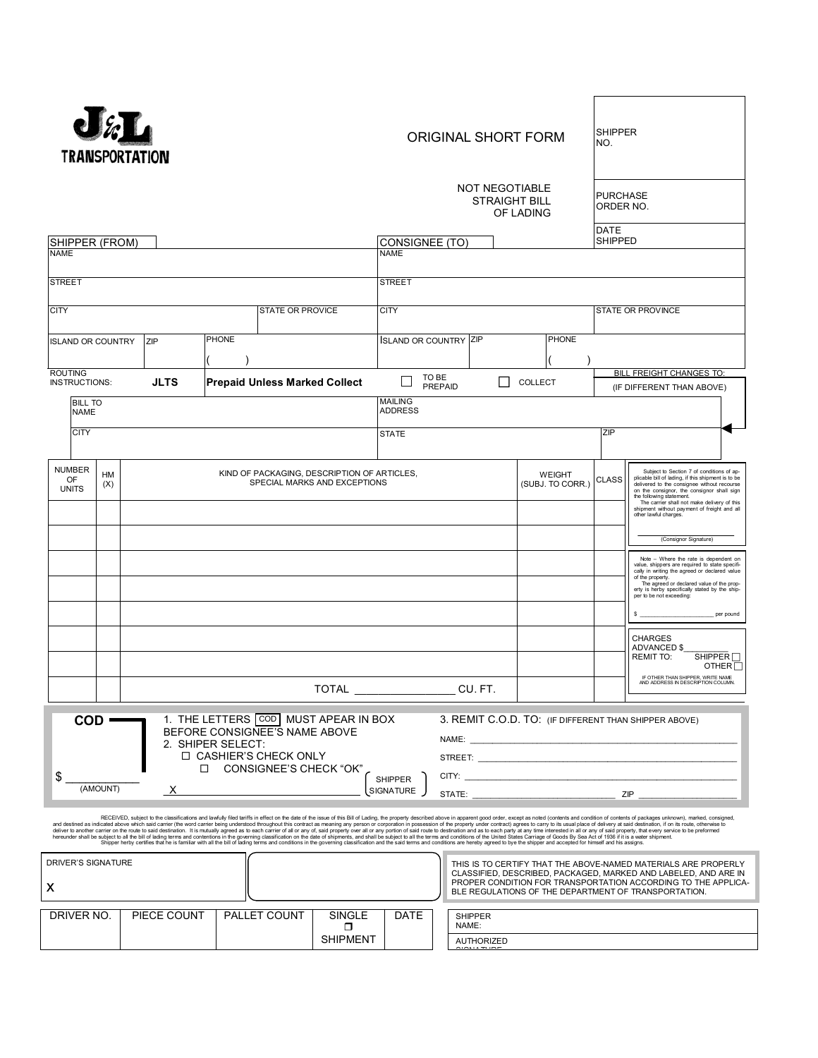

## ORIGINAL SHORT FORM

| SHIPPER<br>NO. |
|----------------|
|                |

| SHIPPER (FROM)<br><b>NAME</b><br><b>STREET</b> |                                                                                                                                                                                                                                                                                                                                                                                                                                                                                                                                                                                                                                                                                                                                                                                                                                                                                                                                      |             |                                                                                                                                                                                                                                                           | NOT NEGOTIABLE<br><b>STRAIGHT BILL</b><br>OF LADING<br>CONSIGNEE (TO)<br><b>NAME</b><br><b>STREET</b>                                |               |                                  |               |                                                                                    |                         | <b>PURCHASE</b><br>ORDER NO.<br>DATE<br><b>SHIPPED</b>                                                                                                                                                                                                                                                                                          |                                 |                          |                                                                                                                                                                                                                                                                                        |
|------------------------------------------------|--------------------------------------------------------------------------------------------------------------------------------------------------------------------------------------------------------------------------------------------------------------------------------------------------------------------------------------------------------------------------------------------------------------------------------------------------------------------------------------------------------------------------------------------------------------------------------------------------------------------------------------------------------------------------------------------------------------------------------------------------------------------------------------------------------------------------------------------------------------------------------------------------------------------------------------|-------------|-----------------------------------------------------------------------------------------------------------------------------------------------------------------------------------------------------------------------------------------------------------|--------------------------------------------------------------------------------------------------------------------------------------|---------------|----------------------------------|---------------|------------------------------------------------------------------------------------|-------------------------|-------------------------------------------------------------------------------------------------------------------------------------------------------------------------------------------------------------------------------------------------------------------------------------------------------------------------------------------------|---------------------------------|--------------------------|----------------------------------------------------------------------------------------------------------------------------------------------------------------------------------------------------------------------------------------------------------------------------------------|
| <b>CITY</b>                                    |                                                                                                                                                                                                                                                                                                                                                                                                                                                                                                                                                                                                                                                                                                                                                                                                                                                                                                                                      |             |                                                                                                                                                                                                                                                           | <b>STATE OR PROVICE</b>                                                                                                              |               | <b>CITY</b>                      |               |                                                                                    |                         |                                                                                                                                                                                                                                                                                                                                                 |                                 | <b>STATE OR PROVINCE</b> |                                                                                                                                                                                                                                                                                        |
| <b>ISLAND OR COUNTRY</b>                       |                                                                                                                                                                                                                                                                                                                                                                                                                                                                                                                                                                                                                                                                                                                                                                                                                                                                                                                                      | ZIP         | <b>PHONE</b>                                                                                                                                                                                                                                              |                                                                                                                                      |               | <b>ISLAND OR COUNTRY ZIP</b>     |               |                                                                                    |                         |                                                                                                                                                                                                                                                                                                                                                 | <b>PHONE</b>                    |                          |                                                                                                                                                                                                                                                                                        |
| <b>ROUTING</b><br><b>JLTS</b><br>INSTRUCTIONS: |                                                                                                                                                                                                                                                                                                                                                                                                                                                                                                                                                                                                                                                                                                                                                                                                                                                                                                                                      |             |                                                                                                                                                                                                                                                           | <b>Prepaid Unless Marked Collect</b>                                                                                                 |               | TO BE<br>PREPAID                 | ΙI<br>COLLECT |                                                                                    |                         |                                                                                                                                                                                                                                                                                                                                                 | <b>BILL FREIGHT CHANGES TO:</b> |                          |                                                                                                                                                                                                                                                                                        |
| <b>BILL TO</b><br><b>NAME</b>                  |                                                                                                                                                                                                                                                                                                                                                                                                                                                                                                                                                                                                                                                                                                                                                                                                                                                                                                                                      |             |                                                                                                                                                                                                                                                           |                                                                                                                                      |               | <b>MAILING</b><br><b>ADDRESS</b> |               |                                                                                    |                         |                                                                                                                                                                                                                                                                                                                                                 |                                 |                          | (IF DIFFERENT THAN ABOVE)                                                                                                                                                                                                                                                              |
| <b>CITY</b>                                    |                                                                                                                                                                                                                                                                                                                                                                                                                                                                                                                                                                                                                                                                                                                                                                                                                                                                                                                                      |             |                                                                                                                                                                                                                                                           |                                                                                                                                      |               | <b>STATE</b>                     |               |                                                                                    |                         |                                                                                                                                                                                                                                                                                                                                                 |                                 | ZIP                      |                                                                                                                                                                                                                                                                                        |
| <b>NUMBER</b><br><b>OF</b><br><b>UNITS</b>     | НM<br>(X)                                                                                                                                                                                                                                                                                                                                                                                                                                                                                                                                                                                                                                                                                                                                                                                                                                                                                                                            |             | KIND OF PACKAGING, DESCRIPTION OF ARTICLES,<br>SPECIAL MARKS AND EXCEPTIONS                                                                                                                                                                               |                                                                                                                                      |               |                                  |               | <b>WEIGHT</b><br>(SUBJ. TO CORR.)                                                  | <b>CLASS</b>            | Subject to Section 7 of conditions of ap-<br>plicable bill of lading, if this shipment is to be<br>delivered to the consignee without recourse<br>on the consignor, the consignor shall sign<br>the following statement.<br>The carrier shall not make delivery of this<br>shipment without payment of freight and all<br>other lawful charges. |                                 |                          |                                                                                                                                                                                                                                                                                        |
|                                                |                                                                                                                                                                                                                                                                                                                                                                                                                                                                                                                                                                                                                                                                                                                                                                                                                                                                                                                                      |             |                                                                                                                                                                                                                                                           |                                                                                                                                      |               |                                  |               |                                                                                    |                         |                                                                                                                                                                                                                                                                                                                                                 |                                 |                          | (Consignor Signature)                                                                                                                                                                                                                                                                  |
|                                                |                                                                                                                                                                                                                                                                                                                                                                                                                                                                                                                                                                                                                                                                                                                                                                                                                                                                                                                                      |             |                                                                                                                                                                                                                                                           |                                                                                                                                      |               |                                  |               |                                                                                    |                         |                                                                                                                                                                                                                                                                                                                                                 |                                 |                          | Note - Where the rate is dependent on<br>value, shippers are required to state specifi-<br>cally in writing the agreed or declared value<br>of the property<br>The agreed or declared value of the prop-<br>erty is herby specifically stated by the ship-<br>per to be not exceeding: |
|                                                |                                                                                                                                                                                                                                                                                                                                                                                                                                                                                                                                                                                                                                                                                                                                                                                                                                                                                                                                      |             |                                                                                                                                                                                                                                                           |                                                                                                                                      |               |                                  |               |                                                                                    |                         |                                                                                                                                                                                                                                                                                                                                                 |                                 |                          | per pound                                                                                                                                                                                                                                                                              |
|                                                |                                                                                                                                                                                                                                                                                                                                                                                                                                                                                                                                                                                                                                                                                                                                                                                                                                                                                                                                      |             |                                                                                                                                                                                                                                                           |                                                                                                                                      |               |                                  |               |                                                                                    |                         |                                                                                                                                                                                                                                                                                                                                                 |                                 |                          | <b>CHARGES</b><br>ADVANCED \$<br>SHIPPER<br><b>REMIT TO:</b><br>OTHER $\Box$                                                                                                                                                                                                           |
|                                                |                                                                                                                                                                                                                                                                                                                                                                                                                                                                                                                                                                                                                                                                                                                                                                                                                                                                                                                                      |             |                                                                                                                                                                                                                                                           |                                                                                                                                      | TOTAL CU. FT. |                                  |               |                                                                                    |                         |                                                                                                                                                                                                                                                                                                                                                 |                                 |                          | IF OTHER THAN SHIPPER, WRITE NAME<br>AND ADDRESS IN DESCRIPTION COLUMN.                                                                                                                                                                                                                |
| $COD -$<br>\$                                  |                                                                                                                                                                                                                                                                                                                                                                                                                                                                                                                                                                                                                                                                                                                                                                                                                                                                                                                                      |             | 2. SHIPER SELECT:                                                                                                                                                                                                                                         | 1. THE LETTERS COD MUST APEAR IN BOX<br>BEFORE CONSIGNEE'S NAME ABOVE<br>□ CASHIER'S CHECK ONLY<br>CONSIGNEE'S CHECK "OK"<br>SHIPPER |               |                                  |               | 3. REMIT C.O.D. TO: (IF DIFFERENT THAN SHIPPER ABOVE)<br>NAME:<br>STREET:<br>CITY: |                         |                                                                                                                                                                                                                                                                                                                                                 |                                 |                          |                                                                                                                                                                                                                                                                                        |
| (AMOUNT)                                       |                                                                                                                                                                                                                                                                                                                                                                                                                                                                                                                                                                                                                                                                                                                                                                                                                                                                                                                                      |             |                                                                                                                                                                                                                                                           | SIGNATURE                                                                                                                            |               |                                  | STATE:        |                                                                                    |                         |                                                                                                                                                                                                                                                                                                                                                 |                                 | ZIP                      |                                                                                                                                                                                                                                                                                        |
|                                                | RECEIVED, subject to the classifications and lawfully filed tariffs in effect on the date of the issue of this Bill of Lading, the property described above in apparent good order, except as noted (contents and condition of<br>and destined as indicated above which said carrier (the word carrier being understood throughout this contract as meaning any person or corporation in possession of the property under contract) agrees to carry to its usual<br>deliver to another carrier on the route to said destination. It is mutually agreed as to each carrier of all or any of, said property over all or any portion of said cole to destination and as to each party at any the inte<br>Shipper herby certifies that he is familiar with all the bill of lading terms and conditions in the governing classification and the said terms and conditions are hereby agreed to bye the shipper and accepted for himself a |             |                                                                                                                                                                                                                                                           |                                                                                                                                      |               |                                  |               |                                                                                    |                         |                                                                                                                                                                                                                                                                                                                                                 |                                 |                          |                                                                                                                                                                                                                                                                                        |
| DRIVER'S SIGNATURE<br>X                        |                                                                                                                                                                                                                                                                                                                                                                                                                                                                                                                                                                                                                                                                                                                                                                                                                                                                                                                                      |             | THIS IS TO CERTIFY THAT THE ABOVE-NAMED MATERIALS ARE PROPERLY<br>CLASSIFIED, DESCRIBED, PACKAGED, MARKED AND LABELED, AND ARE IN<br>PROPER CONDITION FOR TRANSPORTATION ACCORDING TO THE APPLICA-<br>BLE REGULATIONS OF THE DEPARTMENT OF TRANSPORTATION |                                                                                                                                      |               |                                  |               |                                                                                    |                         |                                                                                                                                                                                                                                                                                                                                                 |                                 |                          |                                                                                                                                                                                                                                                                                        |
| DRIVER NO.                                     |                                                                                                                                                                                                                                                                                                                                                                                                                                                                                                                                                                                                                                                                                                                                                                                                                                                                                                                                      | PIECE COUNT |                                                                                                                                                                                                                                                           | PALLET COUNT                                                                                                                         | SINGLE<br>ο   | DATE                             |               |                                                                                    | <b>SHIPPER</b><br>NAME: |                                                                                                                                                                                                                                                                                                                                                 |                                 |                          |                                                                                                                                                                                                                                                                                        |

AUTHORIZED  $\frac{1}{2}$ 

SHIPMENT